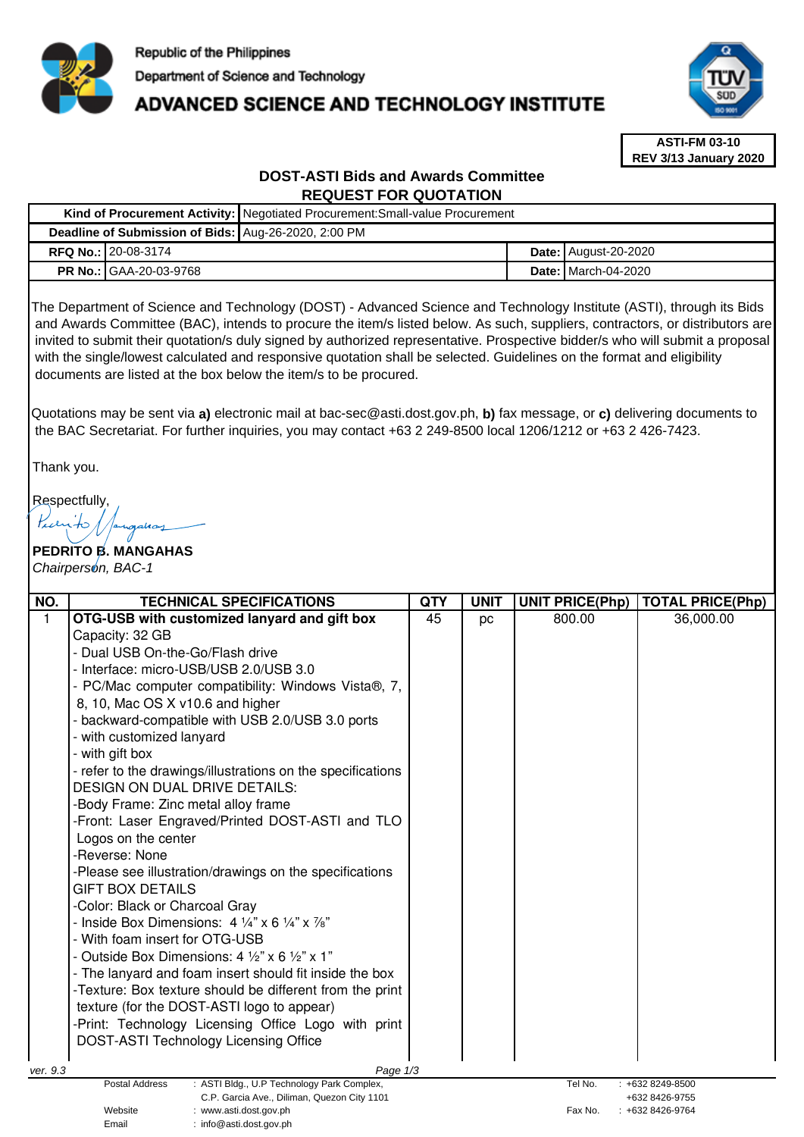

# **ADVANCED SCIENCE AND TECHNOLOGY INSTITUTE**



**ASTI-FM 03-10 REV 3/13 January 2020**

## **DOST-ASTI Bids and Awards Committee REQUEST FOR QUOTATION**

|  |                                                      | Kind of Procurement Activity:   Negotiated Procurement: Small-value Procurement |  |                              |  |  |
|--|------------------------------------------------------|---------------------------------------------------------------------------------|--|------------------------------|--|--|
|  | Deadline of Submission of Bids: Aug-26-2020, 2:00 PM |                                                                                 |  |                              |  |  |
|  | <b>RFQ No.: 20-08-3174</b>                           |                                                                                 |  | <b>Date: August-20-2020</b>  |  |  |
|  | <b>PR No.: GAA-20-03-9768</b>                        |                                                                                 |  | <b>Date:   March-04-2020</b> |  |  |

The Department of Science and Technology (DOST) - Advanced Science and Technology Institute (ASTI), through its Bids and Awards Committee (BAC), intends to procure the item/s listed below. As such, suppliers, contractors, or distributors are invited to submit their quotation/s duly signed by authorized representative. Prospective bidder/s who will submit a proposal with the single/lowest calculated and responsive quotation shall be selected. Guidelines on the format and eligibility documents are listed at the box below the item/s to be procured.

Quotations may be sent via **a)** electronic mail at bac-sec@asti.dost.gov.ph, **b)** fax message, or **c)** delivering documents to the BAC Secretariat. For further inquiries, you may contact +63 2 249-8500 local 1206/1212 or +63 2 426-7423.

Thank you.

Respectfully,

Email : info@asti.dost.gov.ph

### **PEDRITO B. MANGAHAS**  Chairperson, BAC-1

| NO.                                                                                                      | <b>TECHNICAL SPECIFICATIONS</b>                                             | <b>QTY</b> | <b>UNIT</b> | <b>UNIT PRICE(Php)</b> | <b>TOTAL PRICE(Php)</b> |
|----------------------------------------------------------------------------------------------------------|-----------------------------------------------------------------------------|------------|-------------|------------------------|-------------------------|
| $\mathbf{1}$                                                                                             | OTG-USB with customized lanyard and gift box                                | 45         | pc          | 800.00                 | 36,000.00               |
|                                                                                                          | Capacity: 32 GB                                                             |            |             |                        |                         |
|                                                                                                          | - Dual USB On-the-Go/Flash drive                                            |            |             |                        |                         |
|                                                                                                          | - Interface: micro-USB/USB 2.0/USB 3.0                                      |            |             |                        |                         |
|                                                                                                          | - PC/Mac computer compatibility: Windows Vista®, 7,                         |            |             |                        |                         |
|                                                                                                          | 8, 10, Mac OS X v10.6 and higher                                            |            |             |                        |                         |
|                                                                                                          | - backward-compatible with USB 2.0/USB 3.0 ports                            |            |             |                        |                         |
|                                                                                                          | - with customized lanyard                                                   |            |             |                        |                         |
|                                                                                                          | - with gift box                                                             |            |             |                        |                         |
|                                                                                                          | - refer to the drawings/illustrations on the specifications                 |            |             |                        |                         |
|                                                                                                          | <b>DESIGN ON DUAL DRIVE DETAILS:</b>                                        |            |             |                        |                         |
|                                                                                                          | -Body Frame: Zinc metal alloy frame                                         |            |             |                        |                         |
|                                                                                                          | -Front: Laser Engraved/Printed DOST-ASTI and TLO                            |            |             |                        |                         |
|                                                                                                          | Logos on the center                                                         |            |             |                        |                         |
|                                                                                                          | -Reverse: None                                                              |            |             |                        |                         |
|                                                                                                          | -Please see illustration/drawings on the specifications                     |            |             |                        |                         |
|                                                                                                          | <b>GIFT BOX DETAILS</b>                                                     |            |             |                        |                         |
|                                                                                                          | -Color: Black or Charcoal Gray                                              |            |             |                        |                         |
|                                                                                                          | - Inside Box Dimensions: $4\frac{1}{4}$ x 6 $\frac{1}{4}$ x $\frac{7}{8}$ " |            |             |                        |                         |
|                                                                                                          | - With foam insert for OTG-USB                                              |            |             |                        |                         |
|                                                                                                          | - Outside Box Dimensions: $4\frac{1}{2}$ " x 6 $\frac{1}{2}$ " x 1"         |            |             |                        |                         |
|                                                                                                          | - The lanyard and foam insert should fit inside the box                     |            |             |                        |                         |
|                                                                                                          | -Texture: Box texture should be different from the print                    |            |             |                        |                         |
|                                                                                                          | texture (for the DOST-ASTI logo to appear)                                  |            |             |                        |                         |
|                                                                                                          | Print: Technology Licensing Office Logo with print                          |            |             |                        |                         |
|                                                                                                          | <b>DOST-ASTI Technology Licensing Office</b>                                |            |             |                        |                         |
| ver. 9.3                                                                                                 |                                                                             |            |             |                        |                         |
| Page 1/3<br>Postal Address<br>: ASTI Bldg., U.P Technology Park Complex,<br>Tel No.<br>$: +6328249-8500$ |                                                                             |            |             |                        |                         |
| C.P. Garcia Ave., Diliman, Quezon City 1101                                                              |                                                                             |            |             |                        | +632 8426-9755          |
| Website<br>: www.asti.dost.gov.ph                                                                        |                                                                             |            |             | Fax No.                | +632 8426-9764          |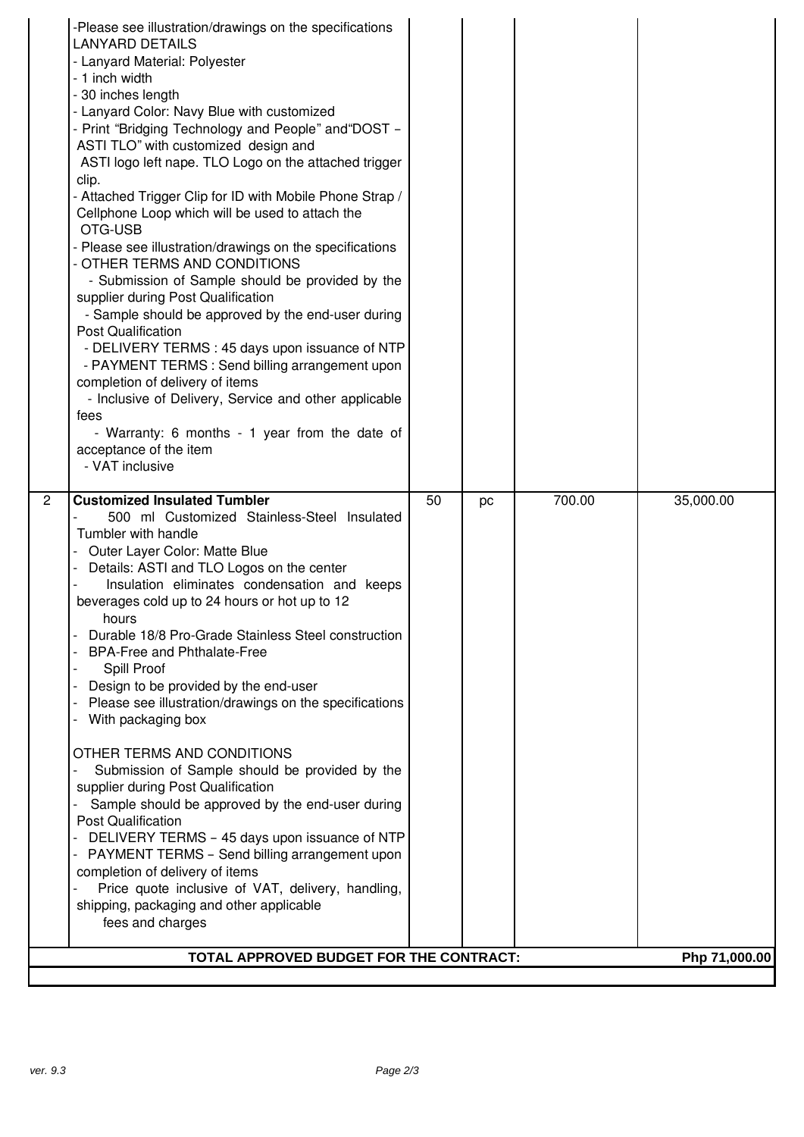| -Please see illustration/drawings on the specifications<br><b>LANYARD DETAILS</b><br>- Lanyard Material: Polyester<br>- 1 inch width<br>- 30 inches length<br>- Lanyard Color: Navy Blue with customized<br>- Print "Bridging Technology and People" and "DOST -<br>ASTI TLO" with customized design and<br>ASTI logo left nape. TLO Logo on the attached trigger<br>clip.<br>- Attached Trigger Clip for ID with Mobile Phone Strap /<br>Cellphone Loop which will be used to attach the<br>OTG-USB<br>- Please see illustration/drawings on the specifications<br>- OTHER TERMS AND CONDITIONS<br>- Submission of Sample should be provided by the<br>supplier during Post Qualification<br>- Sample should be approved by the end-user during<br><b>Post Qualification</b><br>- DELIVERY TERMS : 45 days upon issuance of NTP<br>- PAYMENT TERMS : Send billing arrangement upon<br>completion of delivery of items<br>- Inclusive of Delivery, Service and other applicable<br>fees<br>- Warranty: 6 months - 1 year from the date of<br>acceptance of the item<br>- VAT inclusive |                                         |    |    |        |               |
|----------------------------------------------------------------------------------------------------------------------------------------------------------------------------------------------------------------------------------------------------------------------------------------------------------------------------------------------------------------------------------------------------------------------------------------------------------------------------------------------------------------------------------------------------------------------------------------------------------------------------------------------------------------------------------------------------------------------------------------------------------------------------------------------------------------------------------------------------------------------------------------------------------------------------------------------------------------------------------------------------------------------------------------------------------------------------------------|-----------------------------------------|----|----|--------|---------------|
| 2<br><b>Customized Insulated Tumbler</b><br>500 ml Customized Stainless-Steel Insulated<br>Tumbler with handle<br>Outer Layer Color: Matte Blue<br>Details: ASTI and TLO Logos on the center<br>Insulation eliminates condensation and keeps<br>beverages cold up to 24 hours or hot up to 12<br>hours<br>Durable 18/8 Pro-Grade Stainless Steel construction<br><b>BPA-Free and Phthalate-Free</b><br>Spill Proof<br>Design to be provided by the end-user<br>Please see illustration/drawings on the specifications<br>With packaging box<br>OTHER TERMS AND CONDITIONS<br>Submission of Sample should be provided by the<br>supplier during Post Qualification<br>Sample should be approved by the end-user during<br><b>Post Qualification</b><br>DELIVERY TERMS - 45 days upon issuance of NTP<br>PAYMENT TERMS - Send billing arrangement upon<br>completion of delivery of items<br>Price quote inclusive of VAT, delivery, handling,                                                                                                                                           |                                         | 50 | pc | 700.00 | 35,000.00     |
| shipping, packaging and other applicable<br>fees and charges                                                                                                                                                                                                                                                                                                                                                                                                                                                                                                                                                                                                                                                                                                                                                                                                                                                                                                                                                                                                                           | TOTAL APPROVED BUDGET FOR THE CONTRACT: |    |    |        | Php 71,000.00 |